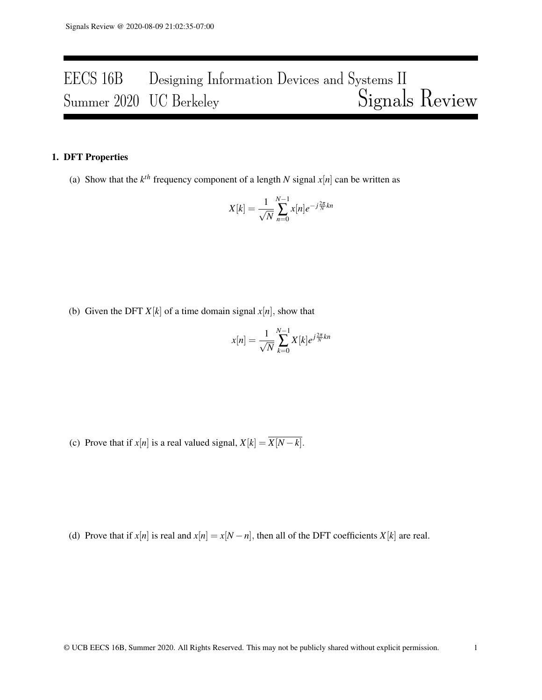# EECS 16B Designing Information Devices and Systems II Summer 2020 UC Berkeley Signals Review

## 1. DFT Properties

(a) Show that the  $k^{th}$  frequency component of a length *N* signal  $x[n]$  can be written as

$$
X[k] = \frac{1}{\sqrt{N}} \sum_{n=0}^{N-1} x[n] e^{-j\frac{2\pi}{N}kn}
$$

(b) Given the DFT  $X[k]$  of a time domain signal  $x[n]$ , show that

$$
x[n] = \frac{1}{\sqrt{N}} \sum_{k=0}^{N-1} X[k] e^{j\frac{2\pi}{N}kn}
$$

(c) Prove that if *x*[*n*] is a real valued signal,  $X[k] = \overline{X[N-k]}$ .

(d) Prove that if  $x[n]$  is real and  $x[n] = x[N - n]$ , then all of the DFT coefficients  $X[k]$  are real.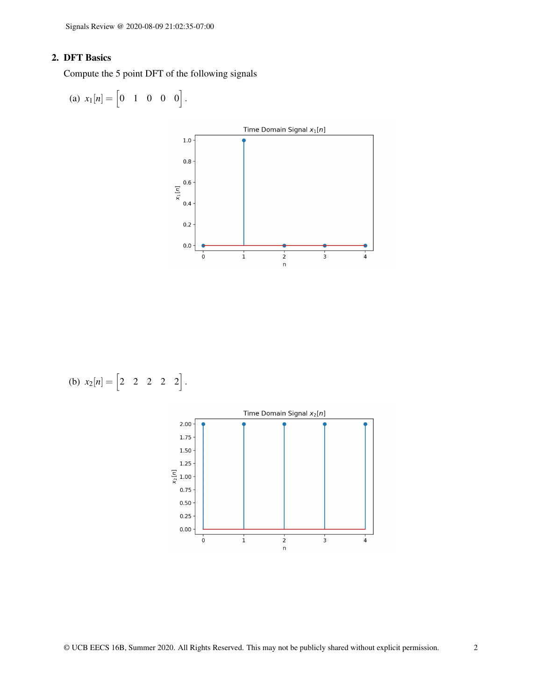# 2. DFT Basics

Compute the 5 point DFT of the following signals

$$
(a) x_1[n] = \begin{bmatrix} 0 & 1 & 0 & 0 & 0 \end{bmatrix}.
$$





© UCB EECS 16B, Summer 2020. All Rights Reserved. This may not be publicly shared without explicit permission. 2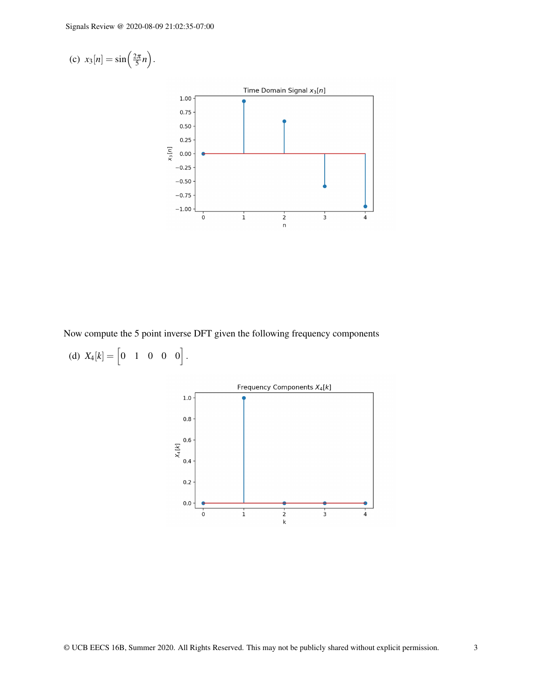$$
(c) \ x_3[n] = \sin\left(\frac{2\pi}{5}n\right).
$$



Now compute the 5 point inverse DFT given the following frequency components

(d)  $X_4[k] = \begin{bmatrix} 0 & 1 & 0 & 0 & 0 \end{bmatrix}$ .

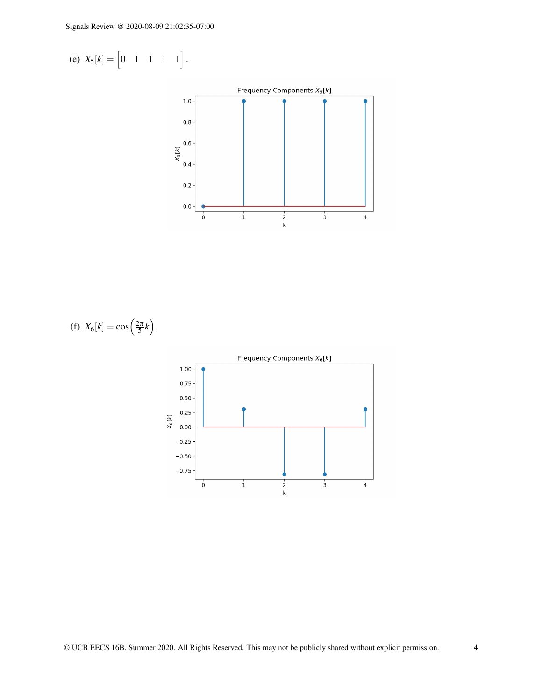(e) 
$$
X_5[k] = [0 \ 1 \ 1 \ 1 \ 1]
$$
.



(f) 
$$
X_6[k] = \cos\left(\frac{2\pi}{5}k\right)
$$
.  
\nFrequency Components  $X_6[k]$   
\n0.75  
\n0.75  
\n0.50  
\n0.50  
\n0.25  
\n0.25  
\n0.25  
\n0.00

 $\ddot{\mathbf{0}}$ 

 $-0.25$  $-0.50$  $-0.75$ 

 $\overline{ }$ 

 $\frac{1}{1}$ 

 $\frac{1}{2}$ 

 $\frac{1}{3}$ 

 $\overline{4}$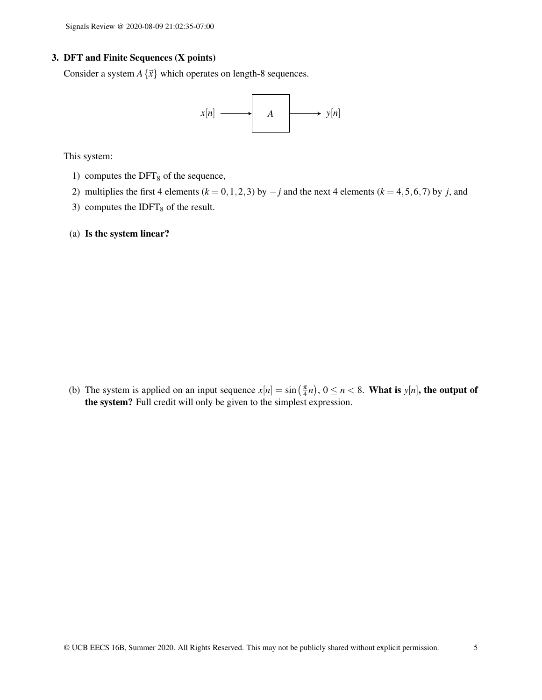## 3. DFT and Finite Sequences (X points)

Consider a system  $A\{\vec{x}\}\$  which operates on length-8 sequences.



This system:

- 1) computes the  $DFT_8$  of the sequence,
- 2) multiplies the first 4 elements ( $k = 0, 1, 2, 3$ ) by  $-j$  and the next 4 elements ( $k = 4, 5, 6, 7$ ) by *j*, and
- 3) computes the IDFT $_8$  of the result.
- (a) Is the system linear?

(b) The system is applied on an input sequence  $x[n] = \sin(\frac{\pi}{4}n)$ ,  $0 \le n < 8$ . What is  $y[n]$ , the output of the system? Full credit will only be given to the simplest expression.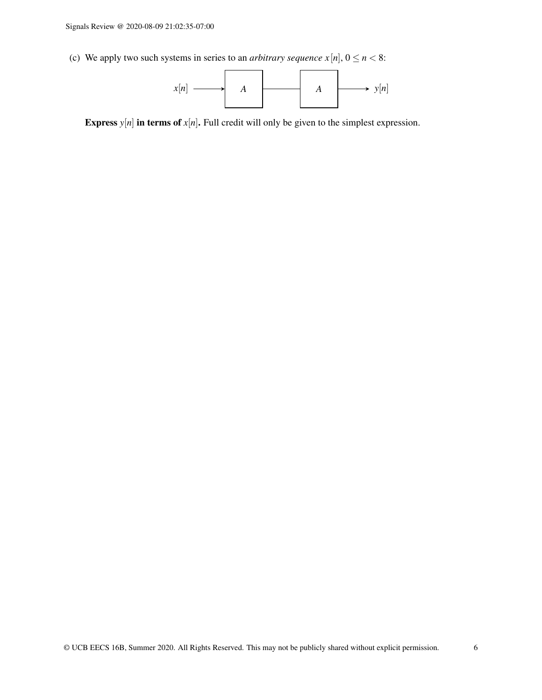(c) We apply two such systems in series to an *arbitrary sequence*  $x[n], 0 \le n < 8$ :



Express  $y[n]$  in terms of  $x[n]$ . Full credit will only be given to the simplest expression.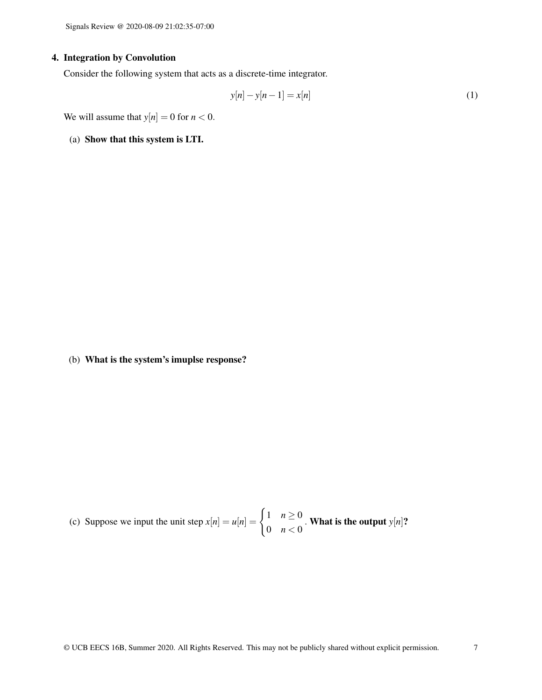# 4. Integration by Convolution

Consider the following system that acts as a discrete-time integrator.

$$
y[n] - y[n-1] = x[n] \tag{1}
$$

We will assume that  $y[n] = 0$  for  $n < 0$ .

(a) Show that this system is LTI.

(b) What is the system's imuplse response?

(c) Suppose we input the unit step 
$$
x[n] = u[n] = \begin{cases} 1 & n \ge 0 \\ 0 & n < 0 \end{cases}
$$
. What is the output  $y[n]$ ?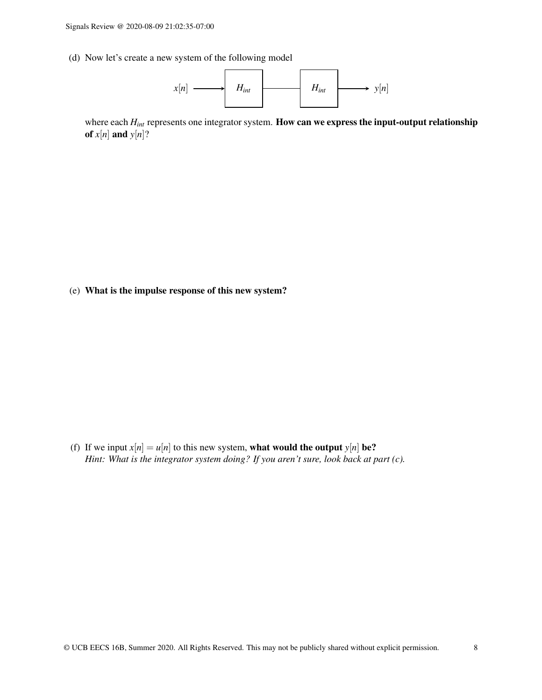(d) Now let's create a new system of the following model



where each  $H_{int}$  represents one integrator system. How can we express the input-output relationship of  $x[n]$  and  $y[n]$ ?

(e) What is the impulse response of this new system?

(f) If we input  $x[n] = u[n]$  to this new system, what would the output  $y[n]$  be? *Hint: What is the integrator system doing? If you aren't sure, look back at part (c).*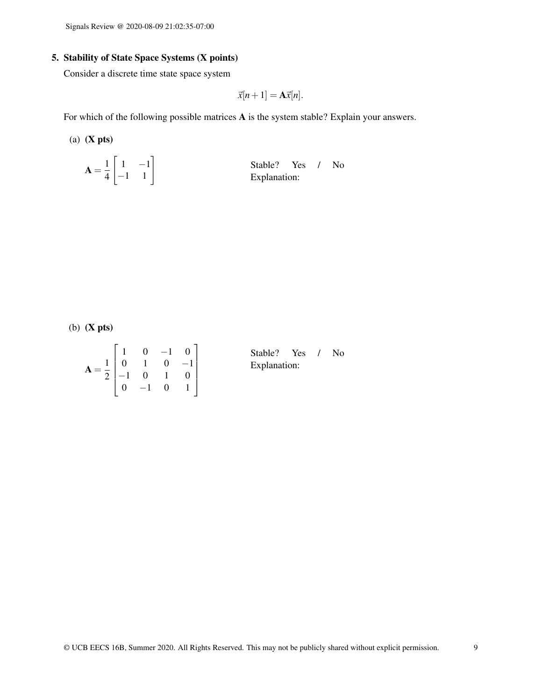### 5. Stability of State Space Systems (X points)

Consider a discrete time state space system

$$
\vec{x}[n+1] = \mathbf{A}\vec{x}[n].
$$

For which of the following possible matrices A is the system stable? Explain your answers.

(a)  $(X<sub>pts</sub>)$ 

$$
\mathbf{A} = \frac{1}{4} \begin{bmatrix} 1 & -1 \\ -1 & 1 \end{bmatrix}
$$
 Stable? Yes / No  
Explanation:

(b) (X pts)

$$
\mathbf{A} = \frac{1}{2} \begin{bmatrix} 1 & 0 & -1 & 0 \\ 0 & 1 & 0 & -1 \\ -1 & 0 & 1 & 0 \\ 0 & -1 & 0 & 1 \end{bmatrix}
$$

| Stable?      | Yes / |  | - No |  |  |  |
|--------------|-------|--|------|--|--|--|
| Explanation: |       |  |      |  |  |  |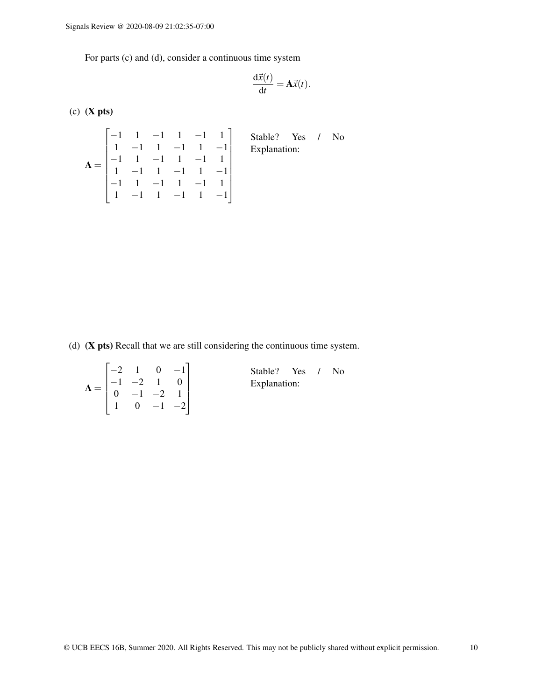For parts (c) and (d), consider a continuous time system

$$
\frac{\mathrm{d}\vec{x}(t)}{\mathrm{d}t} = \mathbf{A}\vec{x}(t).
$$

 $(c)$  (X pts)

$$
\mathbf{A} = \begin{bmatrix} -1 & 1 & -1 & 1 & -1 & 1 \\ 1 & -1 & 1 & -1 & 1 & -1 \\ -1 & 1 & -1 & 1 & -1 & 1 \\ 1 & -1 & 1 & -1 & 1 & -1 \\ -1 & 1 & -1 & 1 & -1 & 1 \\ 1 & -1 & 1 & -1 & 1 & -1 \end{bmatrix} \qquad \begin{array}{c} \text{Stable?} \quad \text{Yes} \quad / \quad \text{No} \\ \text{Explanation:} \\ \text{Explanation:} \end{array}
$$

(d)  $(X$  pts) Recall that we are still considering the continuous time system.

| $\mathbf{A} = \begin{bmatrix} -2 & 1 & 0 & -1 \\ -1 & -2 & 1 & 0 \\ 0 & -1 & -2 & 1 \\ 1 & 0 & -1 & -2 \end{bmatrix}$ |  |  | Stable? Yes / No<br>Explanation: |
|-----------------------------------------------------------------------------------------------------------------------|--|--|----------------------------------|
|                                                                                                                       |  |  |                                  |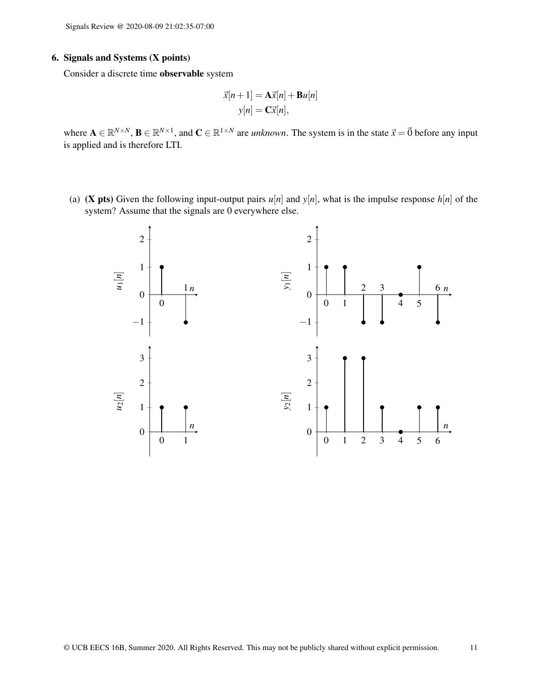### 6. Signals and Systems (X points)

Consider a discrete time observable system

$$
\vec{x}[n+1] = \mathbf{A}\vec{x}[n] + \mathbf{B}u[n]
$$

$$
y[n] = \mathbf{C}\vec{x}[n],
$$

where  $A \in \mathbb{R}^{N \times N}$ ,  $B \in \mathbb{R}^{N \times 1}$ , and  $C \in \mathbb{R}^{1 \times N}$  are *unknown*. The system is in the state  $\vec{x} = \vec{0}$  before any input is applied and is therefore LTI.

(a) (**X** pts) Given the following input-output pairs  $u[n]$  and  $y[n]$ , what is the impulse response  $h[n]$  of the system? Assume that the signals are 0 everywhere else.

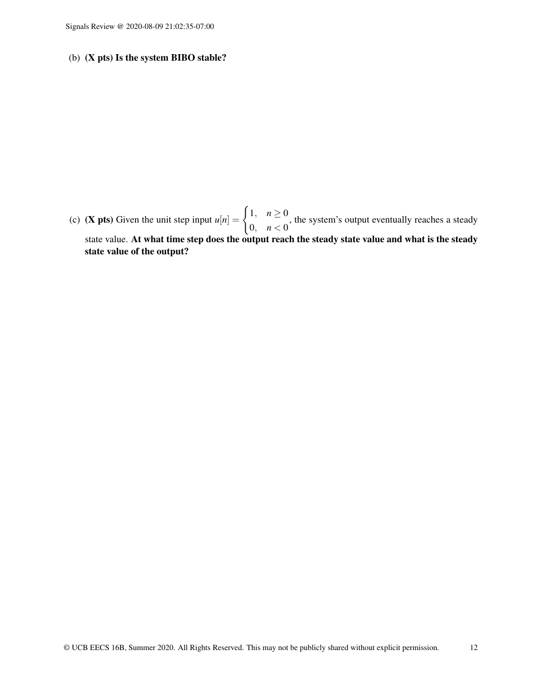(b) (X pts) Is the system BIBO stable?

(c) (**X** pts) Given the unit step input  $u[n] = \begin{cases} 1, & n \ge 0 \\ 0, & n \ge 0 \end{cases}$  $0, \quad n < 0$ , the system's output eventually reaches a steady state value. At what time step does the output reach the steady state value and what is the steady state value of the output?